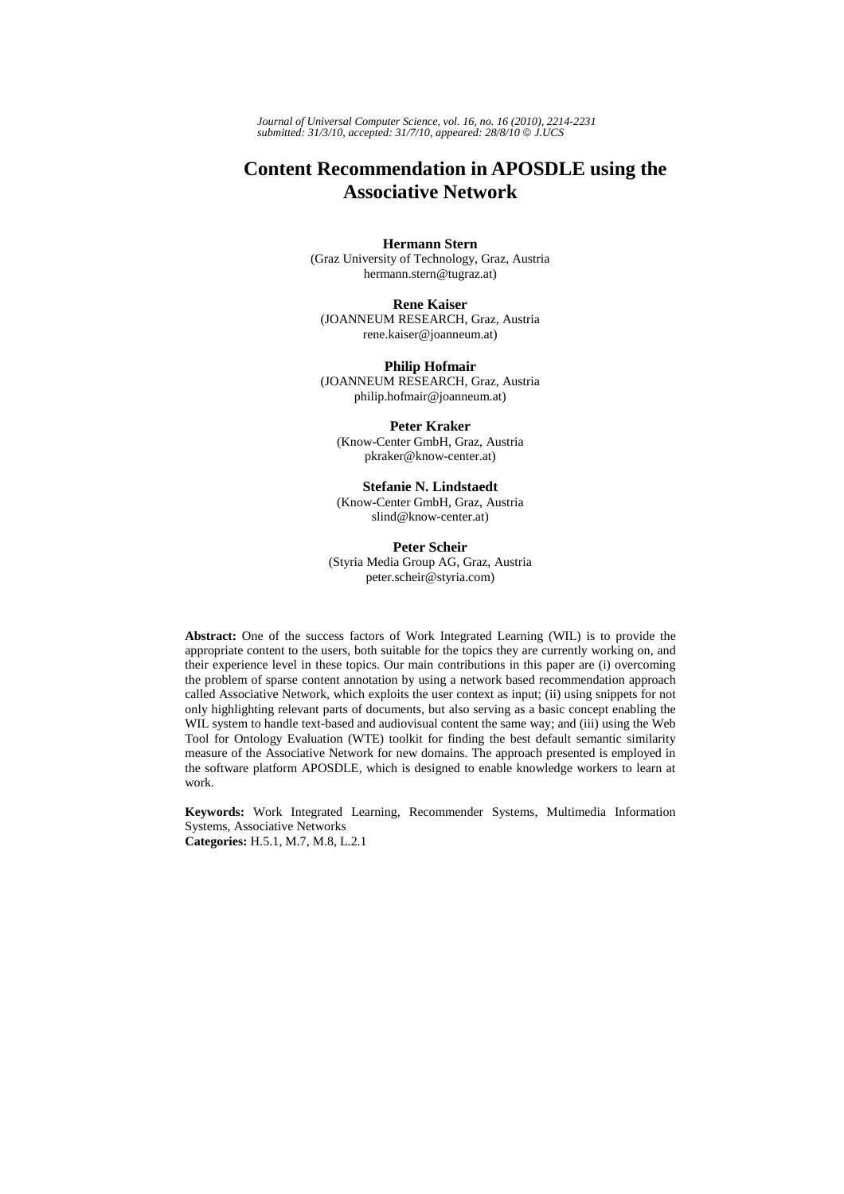*Journal of Universal Computer Science, vol. 16, no. 16 (2010), 2214-2231 submitted: 31/3/10, accepted: 31/7/10, appeared: 28/8/10* © *J.UCS*

# **Content Recommendation in APOSDLE using the Associative Network**

#### **Hermann Stern**

(Graz University of Technology, Graz, Austria hermann.stern@tugraz.at)

**Rene Kaiser** (JOANNEUM RESEARCH, Graz, Austria rene.kaiser@joanneum.at)

**Philip Hofmair** (JOANNEUM RESEARCH, Graz, Austria philip.hofmair@joanneum.at)

**Peter Kraker**  (Know-Center GmbH, Graz, Austria pkraker@know-center.at)

**Stefanie N. Lindstaedt** (Know-Center GmbH, Graz, Austria

slind@know-center.at)

**Peter Scheir** 

(Styria Media Group AG, Graz, Austria peter.scheir@styria.com)

**Abstract:** One of the success factors of Work Integrated Learning (WIL) is to provide the appropriate content to the users, both suitable for the topics they are currently working on, and their experience level in these topics. Our main contributions in this paper are (i) overcoming the problem of sparse content annotation by using a network based recommendation approach called Associative Network, which exploits the user context as input; (ii) using snippets for not only highlighting relevant parts of documents, but also serving as a basic concept enabling the WIL system to handle text-based and audiovisual content the same way; and (iii) using the Web Tool for Ontology Evaluation (WTE) toolkit for finding the best default semantic similarity measure of the Associative Network for new domains. The approach presented is employed in the software platform APOSDLE, which is designed to enable knowledge workers to learn at work.

**Keywords:** Work Integrated Learning, Recommender Systems, Multimedia Information Systems, Associative Networks

**Categories:** H.5.1, M.7, M.8, L.2.1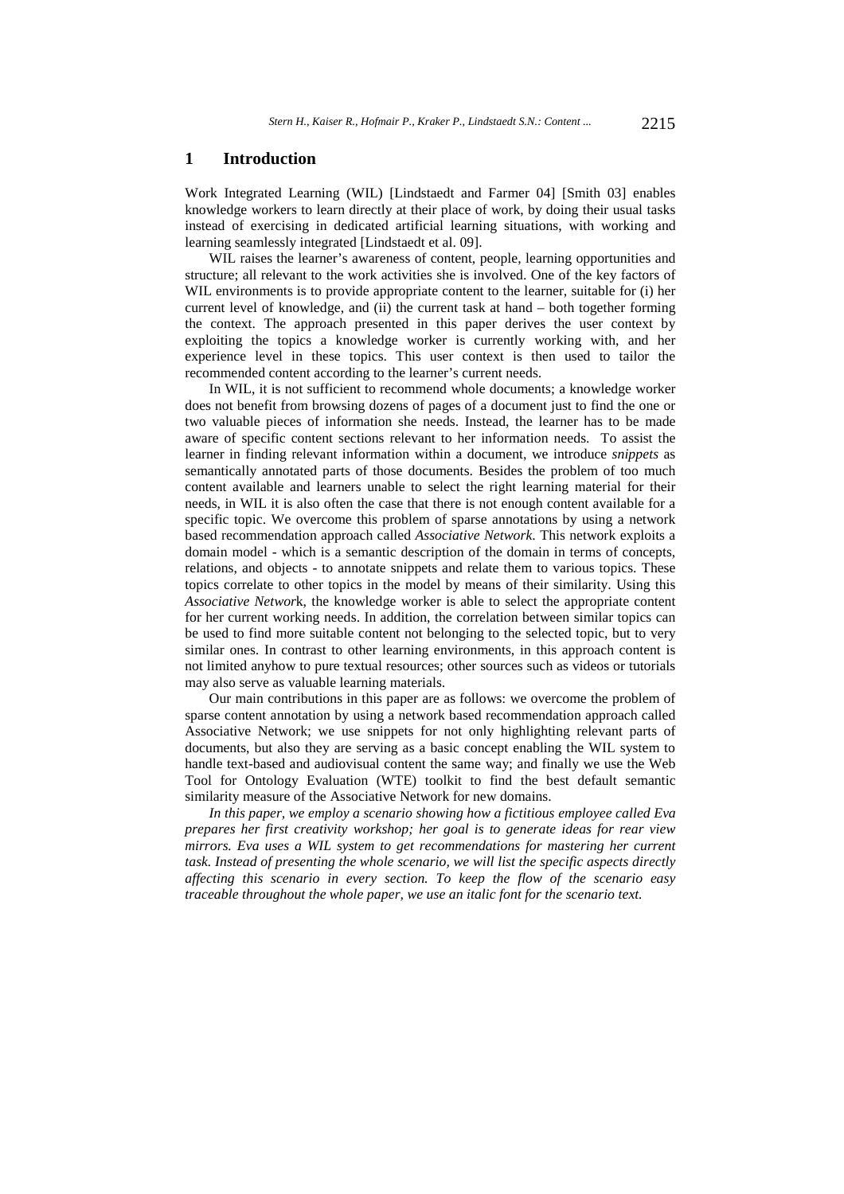#### **1 Introduction**

Work Integrated Learning (WIL) [Lindstaedt and Farmer 04] [Smith 03] enables knowledge workers to learn directly at their place of work, by doing their usual tasks instead of exercising in dedicated artificial learning situations, with working and learning seamlessly integrated [Lindstaedt et al. 09].

WIL raises the learner's awareness of content, people, learning opportunities and structure; all relevant to the work activities she is involved. One of the key factors of WIL environments is to provide appropriate content to the learner, suitable for (i) her current level of knowledge, and (ii) the current task at hand – both together forming the context. The approach presented in this paper derives the user context by exploiting the topics a knowledge worker is currently working with, and her experience level in these topics. This user context is then used to tailor the recommended content according to the learner's current needs.

In WIL, it is not sufficient to recommend whole documents; a knowledge worker does not benefit from browsing dozens of pages of a document just to find the one or two valuable pieces of information she needs. Instead, the learner has to be made aware of specific content sections relevant to her information needs. To assist the learner in finding relevant information within a document, we introduce *snippets* as semantically annotated parts of those documents. Besides the problem of too much content available and learners unable to select the right learning material for their needs, in WIL it is also often the case that there is not enough content available for a specific topic. We overcome this problem of sparse annotations by using a network based recommendation approach called *Associative Network*. This network exploits a domain model - which is a semantic description of the domain in terms of concepts, relations, and objects - to annotate snippets and relate them to various topics. These topics correlate to other topics in the model by means of their similarity. Using this *Associative Networ*k, the knowledge worker is able to select the appropriate content for her current working needs. In addition, the correlation between similar topics can be used to find more suitable content not belonging to the selected topic, but to very similar ones. In contrast to other learning environments, in this approach content is not limited anyhow to pure textual resources; other sources such as videos or tutorials may also serve as valuable learning materials.

Our main contributions in this paper are as follows: we overcome the problem of sparse content annotation by using a network based recommendation approach called Associative Network; we use snippets for not only highlighting relevant parts of documents, but also they are serving as a basic concept enabling the WIL system to handle text-based and audiovisual content the same way; and finally we use the Web Tool for Ontology Evaluation (WTE) toolkit to find the best default semantic similarity measure of the Associative Network for new domains.

*In this paper, we employ a scenario showing how a fictitious employee called Eva prepares her first creativity workshop; her goal is to generate ideas for rear view mirrors. Eva uses a WIL system to get recommendations for mastering her current task. Instead of presenting the whole scenario, we will list the specific aspects directly affecting this scenario in every section. To keep the flow of the scenario easy traceable throughout the whole paper, we use an italic font for the scenario text.*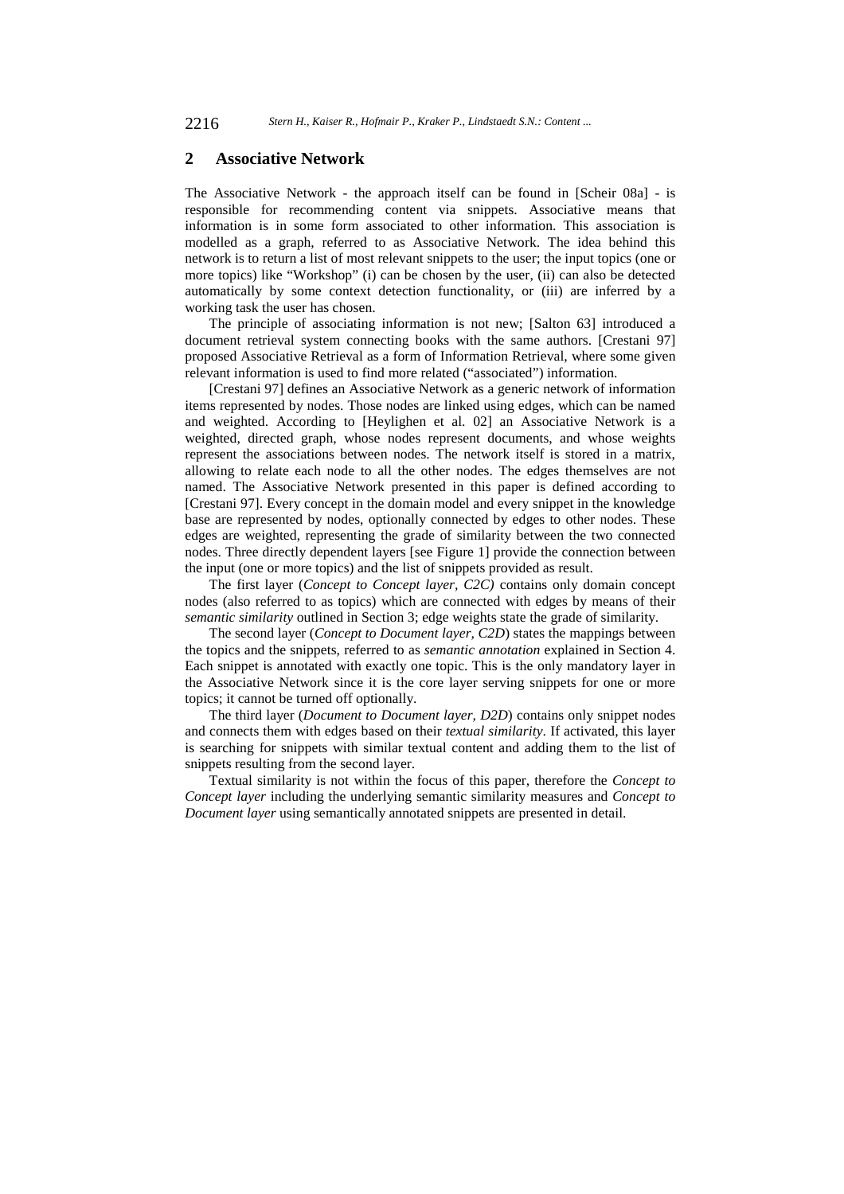#### **2 Associative Network**

The Associative Network - the approach itself can be found in [Scheir 08a] - is responsible for recommending content via snippets. Associative means that information is in some form associated to other information. This association is modelled as a graph, referred to as Associative Network. The idea behind this network is to return a list of most relevant snippets to the user; the input topics (one or more topics) like "Workshop" (i) can be chosen by the user, (ii) can also be detected automatically by some context detection functionality, or (iii) are inferred by a working task the user has chosen.

The principle of associating information is not new; [Salton 63] introduced a document retrieval system connecting books with the same authors. [Crestani 97] proposed Associative Retrieval as a form of Information Retrieval, where some given relevant information is used to find more related ("associated") information.

[Crestani 97] defines an Associative Network as a generic network of information items represented by nodes. Those nodes are linked using edges, which can be named and weighted. According to [Heylighen et al. 02] an Associative Network is a weighted, directed graph, whose nodes represent documents, and whose weights represent the associations between nodes. The network itself is stored in a matrix, allowing to relate each node to all the other nodes. The edges themselves are not named. The Associative Network presented in this paper is defined according to [Crestani 97]. Every concept in the domain model and every snippet in the knowledge base are represented by nodes, optionally connected by edges to other nodes. These edges are weighted, representing the grade of similarity between the two connected nodes. Three directly dependent layers [see Figure 1] provide the connection between the input (one or more topics) and the list of snippets provided as result.

The first layer (*Concept to Concept layer, C2C)* contains only domain concept nodes (also referred to as topics) which are connected with edges by means of their *semantic similarity* outlined in Section 3; edge weights state the grade of similarity.

The second layer (*Concept to Document layer, C2D*) states the mappings between the topics and the snippets, referred to as *semantic annotation* explained in Section 4. Each snippet is annotated with exactly one topic. This is the only mandatory layer in the Associative Network since it is the core layer serving snippets for one or more topics; it cannot be turned off optionally.

The third layer (*Document to Document layer, D2D*) contains only snippet nodes and connects them with edges based on their *textual similarity*. If activated, this layer is searching for snippets with similar textual content and adding them to the list of snippets resulting from the second layer.

Textual similarity is not within the focus of this paper, therefore the *Concept to Concept layer* including the underlying semantic similarity measures and *Concept to Document layer* using semantically annotated snippets are presented in detail.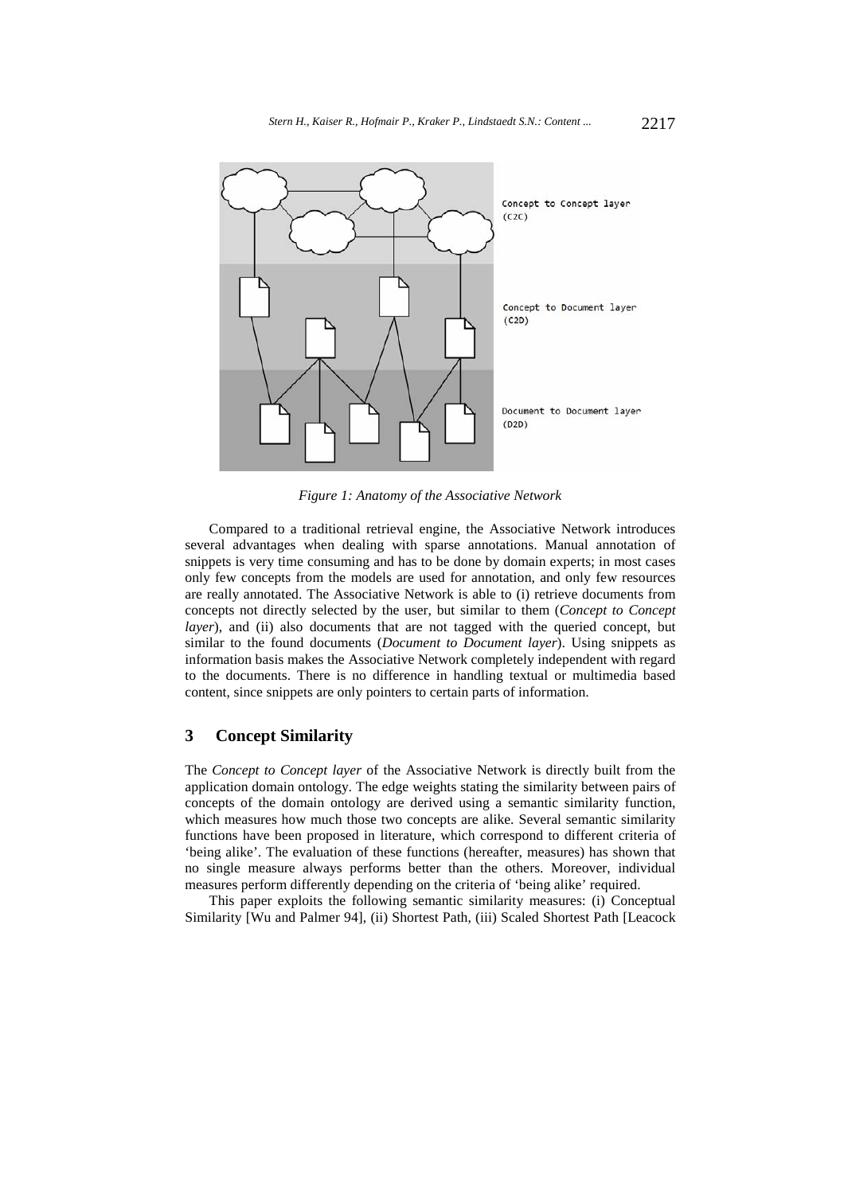

*Figure 1: Anatomy of the Associative Network* 

Compared to a traditional retrieval engine, the Associative Network introduces several advantages when dealing with sparse annotations. Manual annotation of snippets is very time consuming and has to be done by domain experts; in most cases only few concepts from the models are used for annotation, and only few resources are really annotated. The Associative Network is able to (i) retrieve documents from concepts not directly selected by the user, but similar to them (*Concept to Concept layer*), and (ii) also documents that are not tagged with the queried concept, but similar to the found documents (*Document to Document layer*). Using snippets as information basis makes the Associative Network completely independent with regard to the documents. There is no difference in handling textual or multimedia based content, since snippets are only pointers to certain parts of information.

## **3 Concept Similarity**

The *Concept to Concept layer* of the Associative Network is directly built from the application domain ontology. The edge weights stating the similarity between pairs of concepts of the domain ontology are derived using a semantic similarity function, which measures how much those two concepts are alike. Several semantic similarity functions have been proposed in literature, which correspond to different criteria of 'being alike'. The evaluation of these functions (hereafter, measures) has shown that no single measure always performs better than the others. Moreover, individual measures perform differently depending on the criteria of 'being alike' required.

This paper exploits the following semantic similarity measures: (i) Conceptual Similarity [Wu and Palmer 94], (ii) Shortest Path, (iii) Scaled Shortest Path [Leacock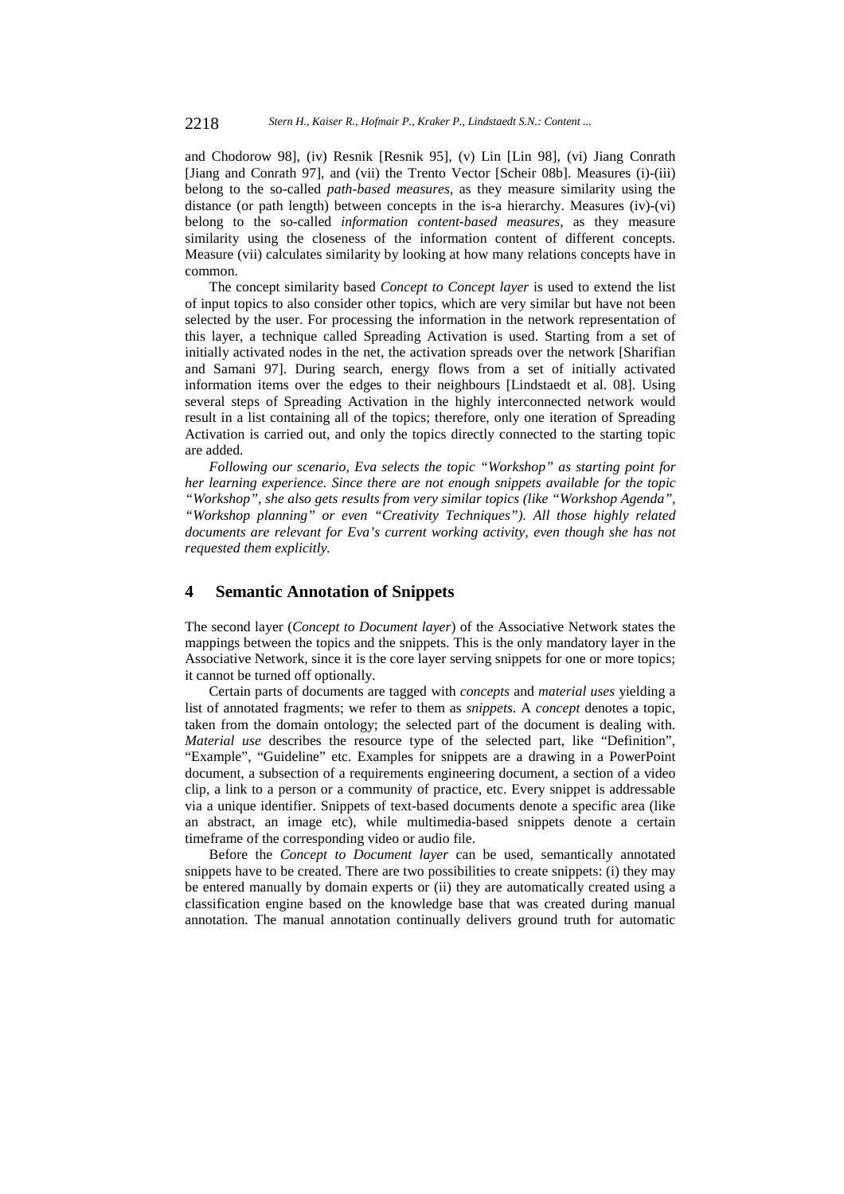and Chodorow 98], (iv) Resnik [Resnik 95], (v) Lin [Lin 98], (vi) Jiang Conrath [Jiang and Conrath 97], and (vii) the Trento Vector [Scheir 08b]. Measures (i)-(iii) belong to the so-called *path-based measures*, as they measure similarity using the distance (or path length) between concepts in the is-a hierarchy. Measures (iv)-(vi) belong to the so-called *information content-based measures*, as they measure similarity using the closeness of the information content of different concepts. Measure (vii) calculates similarity by looking at how many relations concepts have in common.

The concept similarity based *Concept to Concept layer* is used to extend the list of input topics to also consider other topics, which are very similar but have not been selected by the user. For processing the information in the network representation of this layer, a technique called Spreading Activation is used. Starting from a set of initially activated nodes in the net, the activation spreads over the network [Sharifian and Samani 97]. During search, energy flows from a set of initially activated information items over the edges to their neighbours [Lindstaedt et al. 08]. Using several steps of Spreading Activation in the highly interconnected network would result in a list containing all of the topics; therefore, only one iteration of Spreading Activation is carried out, and only the topics directly connected to the starting topic are added.

*Following our scenario, Eva selects the topic "Workshop" as starting point for her learning experience. Since there are not enough snippets available for the topic "Workshop", she also gets results from very similar topics (like "Workshop Agenda", "Workshop planning" or even "Creativity Techniques"). All those highly related documents are relevant for Eva's current working activity, even though she has not requested them explicitly.* 

### **4 Semantic Annotation of Snippets**

The second layer (*Concept to Document layer*) of the Associative Network states the mappings between the topics and the snippets. This is the only mandatory layer in the Associative Network, since it is the core layer serving snippets for one or more topics; it cannot be turned off optionally.

Certain parts of documents are tagged with *concepts* and *material uses* yielding a list of annotated fragments; we refer to them as *snippets*. A *concept* denotes a topic, taken from the domain ontology; the selected part of the document is dealing with. *Material use* describes the resource type of the selected part, like "Definition", "Example", "Guideline" etc. Examples for snippets are a drawing in a PowerPoint document, a subsection of a requirements engineering document, a section of a video clip, a link to a person or a community of practice, etc. Every snippet is addressable via a unique identifier. Snippets of text-based documents denote a specific area (like an abstract, an image etc), while multimedia-based snippets denote a certain timeframe of the corresponding video or audio file.

Before the *Concept to Document layer* can be used, semantically annotated snippets have to be created. There are two possibilities to create snippets: (i) they may be entered manually by domain experts or (ii) they are automatically created using a classification engine based on the knowledge base that was created during manual annotation. The manual annotation continually delivers ground truth for automatic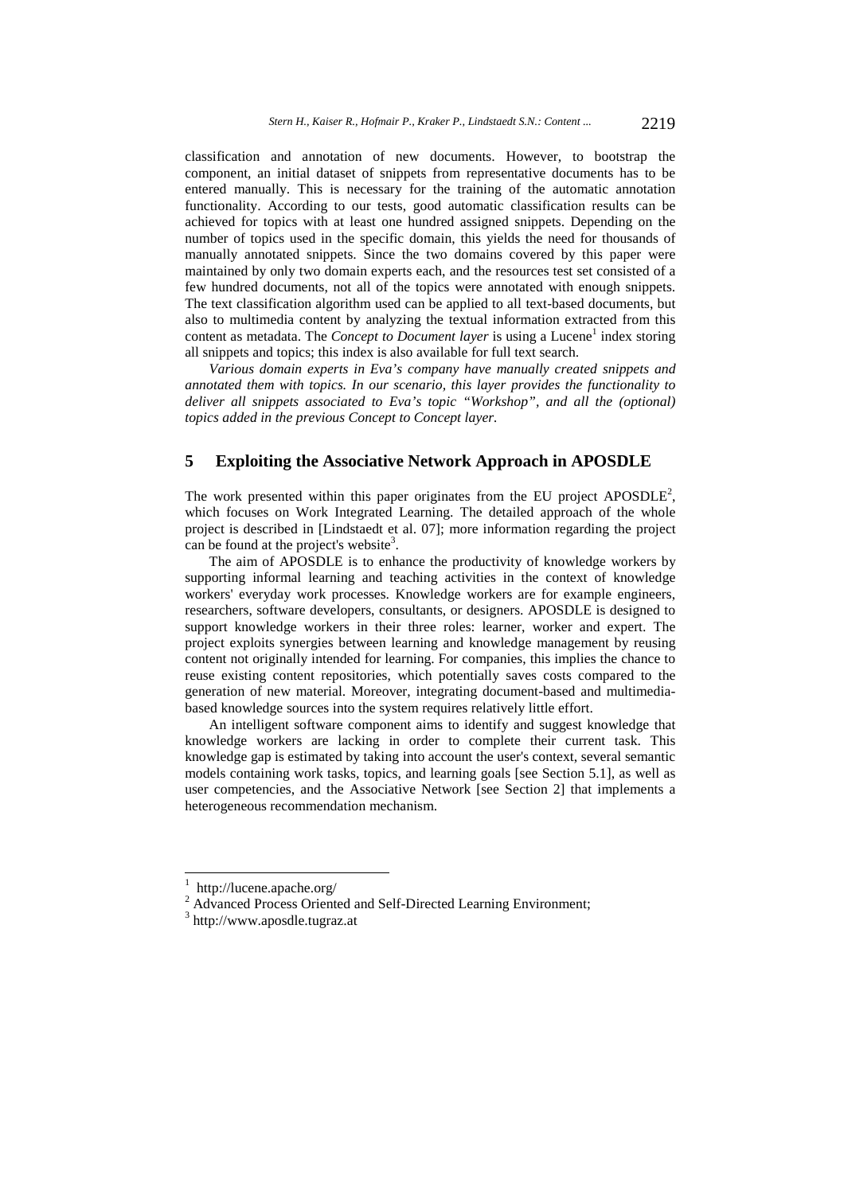classification and annotation of new documents. However, to bootstrap the component, an initial dataset of snippets from representative documents has to be entered manually. This is necessary for the training of the automatic annotation functionality. According to our tests, good automatic classification results can be achieved for topics with at least one hundred assigned snippets. Depending on the number of topics used in the specific domain, this yields the need for thousands of manually annotated snippets. Since the two domains covered by this paper were maintained by only two domain experts each, and the resources test set consisted of a few hundred documents, not all of the topics were annotated with enough snippets. The text classification algorithm used can be applied to all text-based documents, but also to multimedia content by analyzing the textual information extracted from this content as metadata. The *Concept to Document layer* is using a Lucene<sup>1</sup> index storing all snippets and topics; this index is also available for full text search.

*Various domain experts in Eva's company have manually created snippets and annotated them with topics. In our scenario, this layer provides the functionality to deliver all snippets associated to Eva's topic "Workshop", and all the (optional) topics added in the previous Concept to Concept layer.* 

# **5 Exploiting the Associative Network Approach in APOSDLE**

The work presented within this paper originates from the EU project APOSDLE<sup>2</sup>, which focuses on Work Integrated Learning. The detailed approach of the whole project is described in [Lindstaedt et al. 07]; more information regarding the project can be found at the project's website<sup>3</sup>.

The aim of APOSDLE is to enhance the productivity of knowledge workers by supporting informal learning and teaching activities in the context of knowledge workers' everyday work processes. Knowledge workers are for example engineers, researchers, software developers, consultants, or designers. APOSDLE is designed to support knowledge workers in their three roles: learner, worker and expert. The project exploits synergies between learning and knowledge management by reusing content not originally intended for learning. For companies, this implies the chance to reuse existing content repositories, which potentially saves costs compared to the generation of new material. Moreover, integrating document-based and multimediabased knowledge sources into the system requires relatively little effort.

An intelligent software component aims to identify and suggest knowledge that knowledge workers are lacking in order to complete their current task. This knowledge gap is estimated by taking into account the user's context, several semantic models containing work tasks, topics, and learning goals [see Section 5.1], as well as user competencies, and the Associative Network [see Section 2] that implements a heterogeneous recommendation mechanism.

l

<sup>1</sup> http://lucene.apache.org/

 $\frac{2}{3}$  Advanced Process Oriented and Self-Directed Learning Environment;

http://www.aposdle.tugraz.at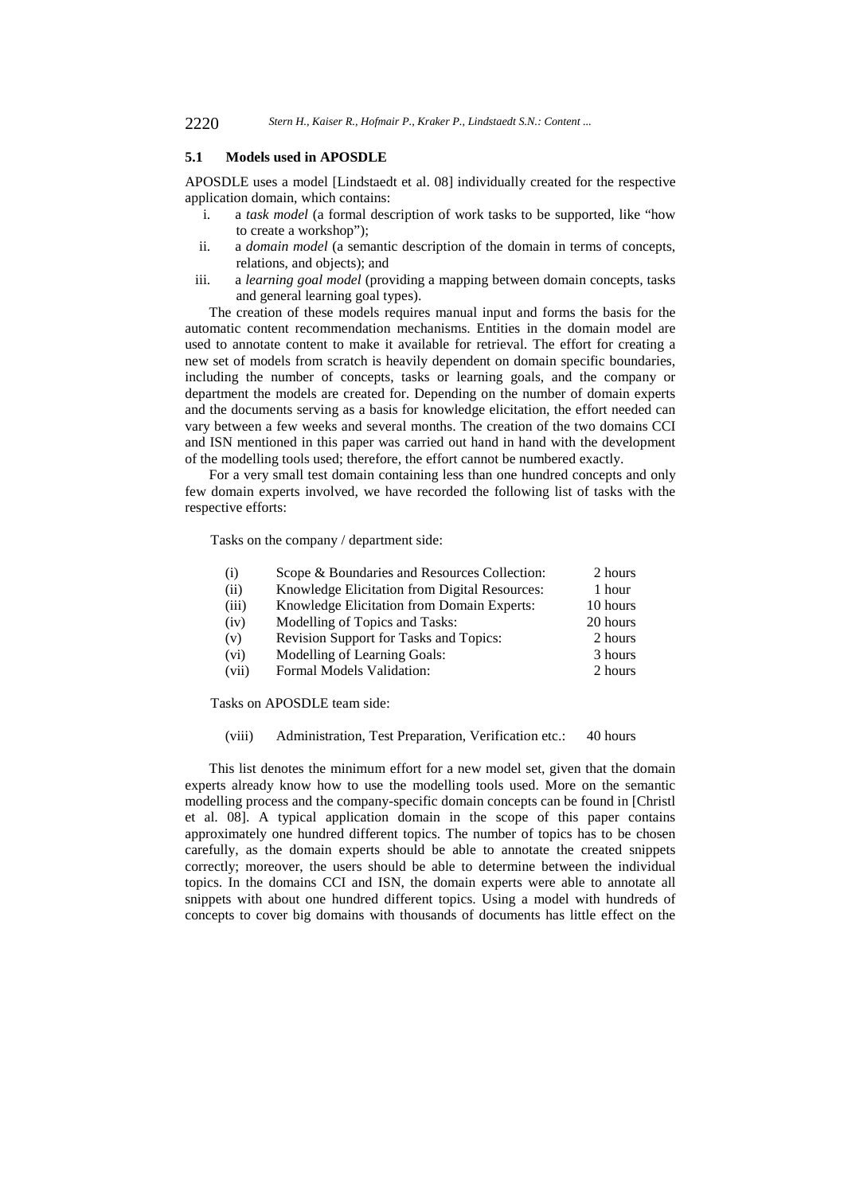#### **5.1 Models used in APOSDLE**

APOSDLE uses a model [Lindstaedt et al. 08] individually created for the respective application domain, which contains:

- i. a *task model* (a formal description of work tasks to be supported, like "how to create a workshop");
- ii. a *domain model* (a semantic description of the domain in terms of concepts, relations, and objects); and
- iii. a *learning goal model* (providing a mapping between domain concepts, tasks and general learning goal types).

The creation of these models requires manual input and forms the basis for the automatic content recommendation mechanisms. Entities in the domain model are used to annotate content to make it available for retrieval. The effort for creating a new set of models from scratch is heavily dependent on domain specific boundaries, including the number of concepts, tasks or learning goals, and the company or department the models are created for. Depending on the number of domain experts and the documents serving as a basis for knowledge elicitation, the effort needed can vary between a few weeks and several months. The creation of the two domains CCI and ISN mentioned in this paper was carried out hand in hand with the development of the modelling tools used; therefore, the effort cannot be numbered exactly.

For a very small test domain containing less than one hundred concepts and only few domain experts involved, we have recorded the following list of tasks with the respective efforts:

Tasks on the company / department side:

| (i)   | Scope & Boundaries and Resources Collection:  | 2 hours  |
|-------|-----------------------------------------------|----------|
| (ii)  | Knowledge Elicitation from Digital Resources: | 1 hour   |
| (iii) | Knowledge Elicitation from Domain Experts:    | 10 hours |
| (iv)  | Modelling of Topics and Tasks:                | 20 hours |
| (v)   | <b>Revision Support for Tasks and Topics:</b> | 2 hours  |
| (vi)  | Modelling of Learning Goals:                  | 3 hours  |
| (vii) | Formal Models Validation:                     | 2 hours  |
|       |                                               |          |

Tasks on APOSDLE team side:

#### (viii) Administration, Test Preparation, Verification etc.: 40 hours

This list denotes the minimum effort for a new model set, given that the domain experts already know how to use the modelling tools used. More on the semantic modelling process and the company-specific domain concepts can be found in [Christl et al. 08]. A typical application domain in the scope of this paper contains approximately one hundred different topics. The number of topics has to be chosen carefully, as the domain experts should be able to annotate the created snippets correctly; moreover, the users should be able to determine between the individual topics. In the domains CCI and ISN, the domain experts were able to annotate all snippets with about one hundred different topics. Using a model with hundreds of concepts to cover big domains with thousands of documents has little effect on the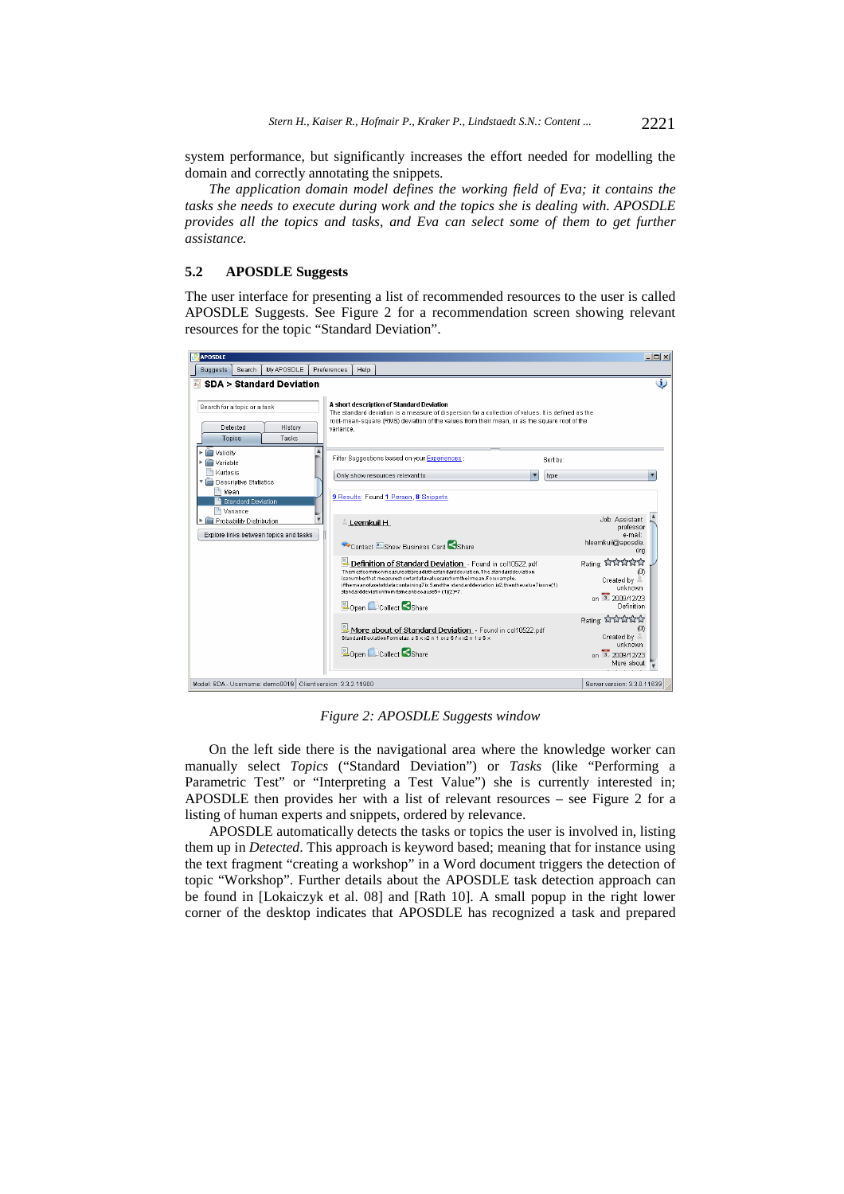system performance, but significantly increases the effort needed for modelling the domain and correctly annotating the snippets.

*The application domain model defines the working field of Eva; it contains the tasks she needs to execute during work and the topics she is dealing with. APOSDLE provides all the topics and tasks, and Eva can select some of them to get further assistance.* 

### **5.2 APOSDLE Suggests**

The user interface for presenting a list of recommended resources to the user is called APOSDLE Suggests. See Figure 2 for a recommendation screen showing relevant resources for the topic "Standard Deviation".

| <b>SDA &gt; Standard Deviation</b>                                 |                                                                                                                                                                                                                                                                                                                                                          |                                                           |
|--------------------------------------------------------------------|----------------------------------------------------------------------------------------------------------------------------------------------------------------------------------------------------------------------------------------------------------------------------------------------------------------------------------------------------------|-----------------------------------------------------------|
| Search for a topic or a task                                       | A short description of Standard Deviation<br>The standard deviation is a measure of dispersion for a collection of values. It is defined as the<br>root-mean-square (RMS) deviation of the values from their mean, or as the square root of the                                                                                                          |                                                           |
| Detected<br>History<br>Tasks<br>Topics                             | variance.                                                                                                                                                                                                                                                                                                                                                |                                                           |
| Validity<br>Variable                                               | Filter Suggestions based on your Experiences :                                                                                                                                                                                                                                                                                                           | Sort by:                                                  |
| Kurtosis<br>Descriptive Statistics                                 | Only show resources relevant to                                                                                                                                                                                                                                                                                                                          | type                                                      |
| Mean<br><b>Standard Deviation</b><br>Variance                      | 9 Results: Found 1 Person, 8 Snippets                                                                                                                                                                                                                                                                                                                    |                                                           |
| Probability Distribution<br>Explore links between topics and tasks | $\triangle$ Leemkuil H                                                                                                                                                                                                                                                                                                                                   | Job: Assistant<br>professor<br>e-mail:                    |
|                                                                    | Contact Show Business Card Share                                                                                                                                                                                                                                                                                                                         | hleemkuil@aposdle.<br>ora                                 |
|                                                                    | Definition of Standard Deviation - Found in col10522.pdf<br>Themostcommonmeasureofspreadisthestandarddeviation. The standarddeviation<br>isanumberthat measureshowfardatavaluesarefromtheirmean.Forexample,<br>ifthemeanofasetofdatacontaining7is 5andthe standarddeviation is2.thenthevalue7isone(1)<br>standarddeviationfromitsmeanbecause5+ (1)(2)=7. | Rating: AMAM<br>Created by<br>unknown<br>on 3, 2009/12/23 |
|                                                                    | Open Collect Share                                                                                                                                                                                                                                                                                                                                       | Definition<br>Rating: ਪਿੱਖ ਪਿੱਖ                           |
|                                                                    | More about of Standard Deviation - Found in col10522.pdf<br>StandardDeviationFormulas: s S x x2 n 1 or s S f x x2 n 1 s S x                                                                                                                                                                                                                              | Created by                                                |

*Figure 2: APOSDLE Suggests window* 

On the left side there is the navigational area where the knowledge worker can manually select *Topics* ("Standard Deviation") or *Tasks* (like "Performing a Parametric Test" or "Interpreting a Test Value") she is currently interested in; APOSDLE then provides her with a list of relevant resources – see Figure 2 for a listing of human experts and snippets, ordered by relevance.

APOSDLE automatically detects the tasks or topics the user is involved in, listing them up in *Detected*. This approach is keyword based; meaning that for instance using the text fragment "creating a workshop" in a Word document triggers the detection of topic "Workshop". Further details about the APOSDLE task detection approach can be found in [Lokaiczyk et al. 08] and [Rath 10]. A small popup in the right lower corner of the desktop indicates that APOSDLE has recognized a task and prepared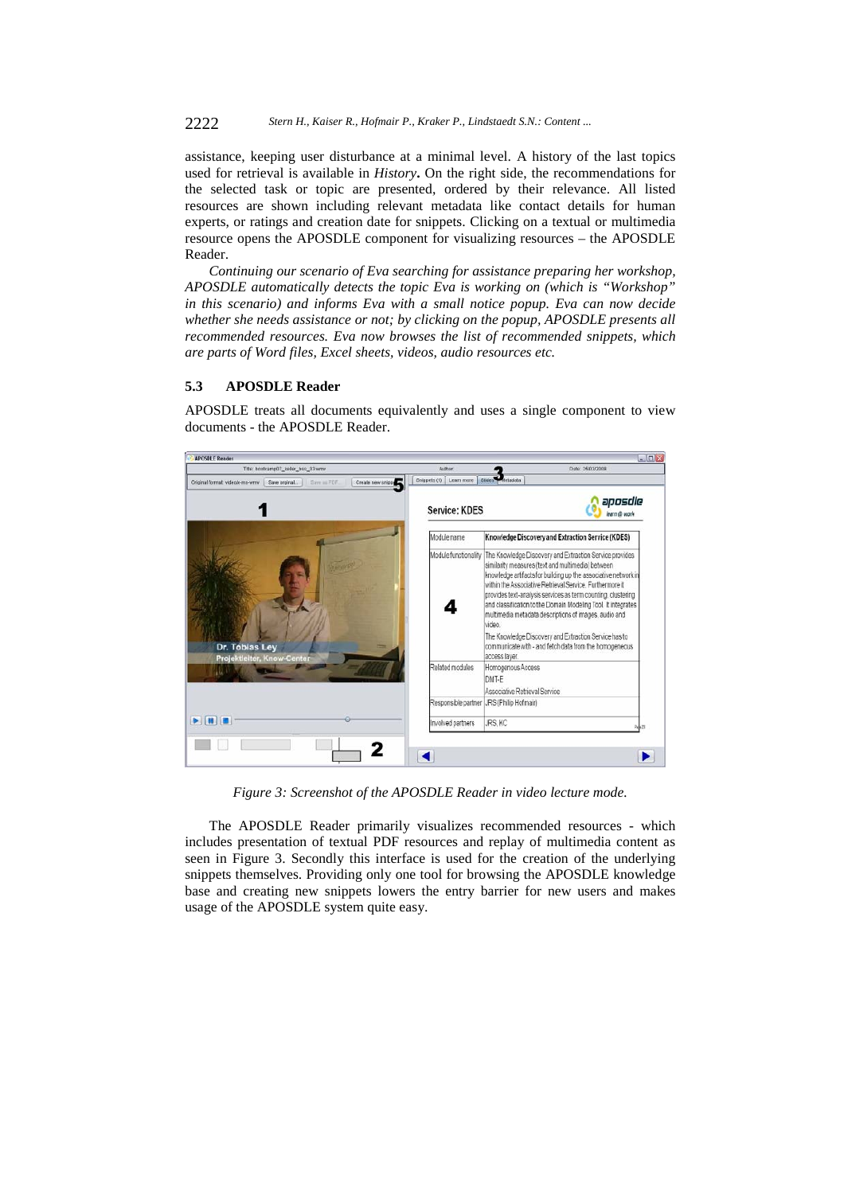assistance, keeping user disturbance at a minimal level. A history of the last topics used for retrieval is available in *History***.** On the right side, the recommendations for the selected task or topic are presented, ordered by their relevance. All listed resources are shown including relevant metadata like contact details for human experts, or ratings and creation date for snippets. Clicking on a textual or multimedia resource opens the APOSDLE component for visualizing resources – the APOSDLE Reader.

*Continuing our scenario of Eva searching for assistance preparing her workshop, APOSDLE automatically detects the topic Eva is working on (which is "Workshop" in this scenario) and informs Eva with a small notice popup. Eva can now decide whether she needs assistance or not; by clicking on the popup, APOSDLE presents all recommended resources. Eva now browses the list of recommended snippets, which are parts of Word files, Excel sheets, videos, audio resources etc.* 

### **5.3 APOSDLE Reader**

APOSDLE treats all documents equivalently and uses a single component to view documents - the APOSDLE Reader.



*Figure 3: Screenshot of the APOSDLE Reader in video lecture mode.* 

The APOSDLE Reader primarily visualizes recommended resources - which includes presentation of textual PDF resources and replay of multimedia content as seen in Figure 3. Secondly this interface is used for the creation of the underlying snippets themselves. Providing only one tool for browsing the APOSDLE knowledge base and creating new snippets lowers the entry barrier for new users and makes usage of the APOSDLE system quite easy.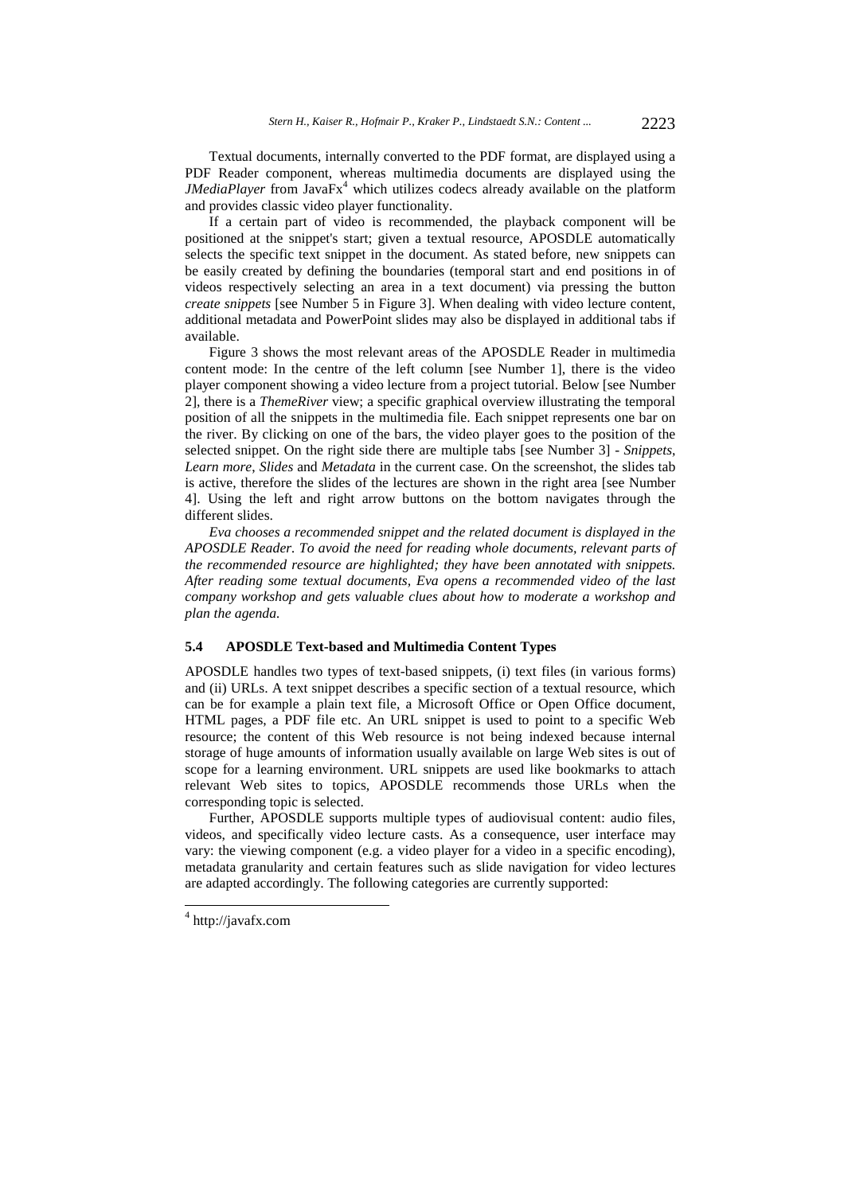Textual documents, internally converted to the PDF format, are displayed using a PDF Reader component, whereas multimedia documents are displayed using the *JMediaPlayer* from JavaFx<sup>4</sup> which utilizes codecs already available on the platform and provides classic video player functionality.

If a certain part of video is recommended, the playback component will be positioned at the snippet's start; given a textual resource, APOSDLE automatically selects the specific text snippet in the document. As stated before, new snippets can be easily created by defining the boundaries (temporal start and end positions in of videos respectively selecting an area in a text document) via pressing the button *create snippets* [see Number 5 in Figure 3]. When dealing with video lecture content, additional metadata and PowerPoint slides may also be displayed in additional tabs if available.

Figure 3 shows the most relevant areas of the APOSDLE Reader in multimedia content mode: In the centre of the left column [see Number 1], there is the video player component showing a video lecture from a project tutorial. Below [see Number 2], there is a *ThemeRiver* view; a specific graphical overview illustrating the temporal position of all the snippets in the multimedia file. Each snippet represents one bar on the river. By clicking on one of the bars, the video player goes to the position of the selected snippet. On the right side there are multiple tabs [see Number 3] - *Snippets*, *Learn more*, *Slides* and *Metadata* in the current case. On the screenshot, the slides tab is active, therefore the slides of the lectures are shown in the right area [see Number 4]. Using the left and right arrow buttons on the bottom navigates through the different slides.

*Eva chooses a recommended snippet and the related document is displayed in the APOSDLE Reader. To avoid the need for reading whole documents, relevant parts of the recommended resource are highlighted; they have been annotated with snippets. After reading some textual documents, Eva opens a recommended video of the last company workshop and gets valuable clues about how to moderate a workshop and plan the agenda.*

### **5.4 APOSDLE Text-based and Multimedia Content Types**

APOSDLE handles two types of text-based snippets, (i) text files (in various forms) and (ii) URLs. A text snippet describes a specific section of a textual resource, which can be for example a plain text file, a Microsoft Office or Open Office document, HTML pages, a PDF file etc. An URL snippet is used to point to a specific Web resource; the content of this Web resource is not being indexed because internal storage of huge amounts of information usually available on large Web sites is out of scope for a learning environment. URL snippets are used like bookmarks to attach relevant Web sites to topics, APOSDLE recommends those URLs when the corresponding topic is selected.

Further, APOSDLE supports multiple types of audiovisual content: audio files, videos, and specifically video lecture casts. As a consequence, user interface may vary: the viewing component (e.g. a video player for a video in a specific encoding), metadata granularity and certain features such as slide navigation for video lectures are adapted accordingly. The following categories are currently supported:

l

<sup>4</sup> http://javafx.com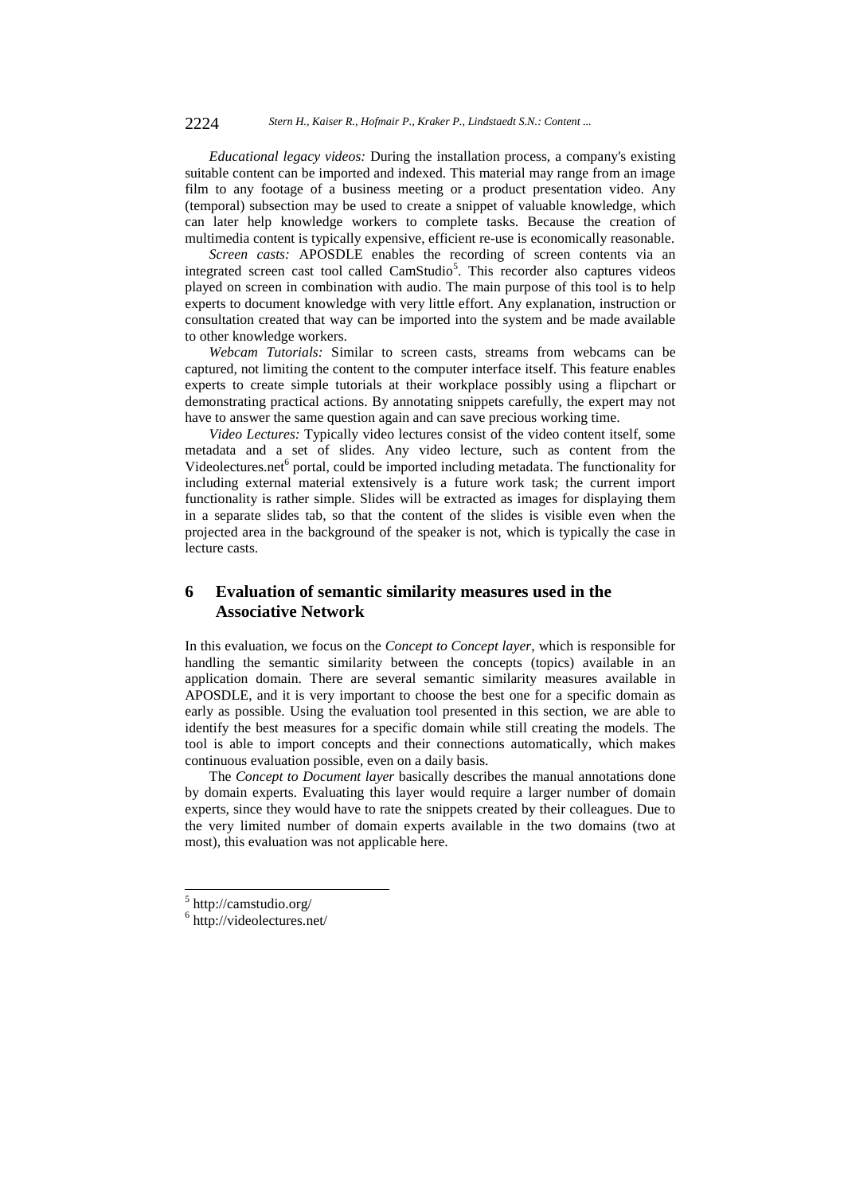*Educational legacy videos:* During the installation process, a company's existing suitable content can be imported and indexed. This material may range from an image film to any footage of a business meeting or a product presentation video. Any (temporal) subsection may be used to create a snippet of valuable knowledge, which can later help knowledge workers to complete tasks. Because the creation of multimedia content is typically expensive, efficient re-use is economically reasonable.

*Screen casts:* APOSDLE enables the recording of screen contents via an integrated screen cast tool called CamStudio<sup>5</sup>. This recorder also captures videos played on screen in combination with audio. The main purpose of this tool is to help experts to document knowledge with very little effort. Any explanation, instruction or consultation created that way can be imported into the system and be made available to other knowledge workers.

*Webcam Tutorials:* Similar to screen casts, streams from webcams can be captured, not limiting the content to the computer interface itself. This feature enables experts to create simple tutorials at their workplace possibly using a flipchart or demonstrating practical actions. By annotating snippets carefully, the expert may not have to answer the same question again and can save precious working time.

*Video Lectures:* Typically video lectures consist of the video content itself, some metadata and a set of slides. Any video lecture, such as content from the Videolectures.net<sup>6</sup> portal, could be imported including metadata. The functionality for including external material extensively is a future work task; the current import functionality is rather simple. Slides will be extracted as images for displaying them in a separate slides tab, so that the content of the slides is visible even when the projected area in the background of the speaker is not, which is typically the case in lecture casts.

# **6 Evaluation of semantic similarity measures used in the Associative Network**

In this evaluation, we focus on the *Concept to Concept layer*, which is responsible for handling the semantic similarity between the concepts (topics) available in an application domain. There are several semantic similarity measures available in APOSDLE, and it is very important to choose the best one for a specific domain as early as possible. Using the evaluation tool presented in this section, we are able to identify the best measures for a specific domain while still creating the models. The tool is able to import concepts and their connections automatically, which makes continuous evaluation possible, even on a daily basis.

The *Concept to Document layer* basically describes the manual annotations done by domain experts. Evaluating this layer would require a larger number of domain experts, since they would have to rate the snippets created by their colleagues. Due to the very limited number of domain experts available in the two domains (two at most), this evaluation was not applicable here.

l

<sup>5</sup> http://camstudio.org/

<sup>6</sup> http://videolectures.net/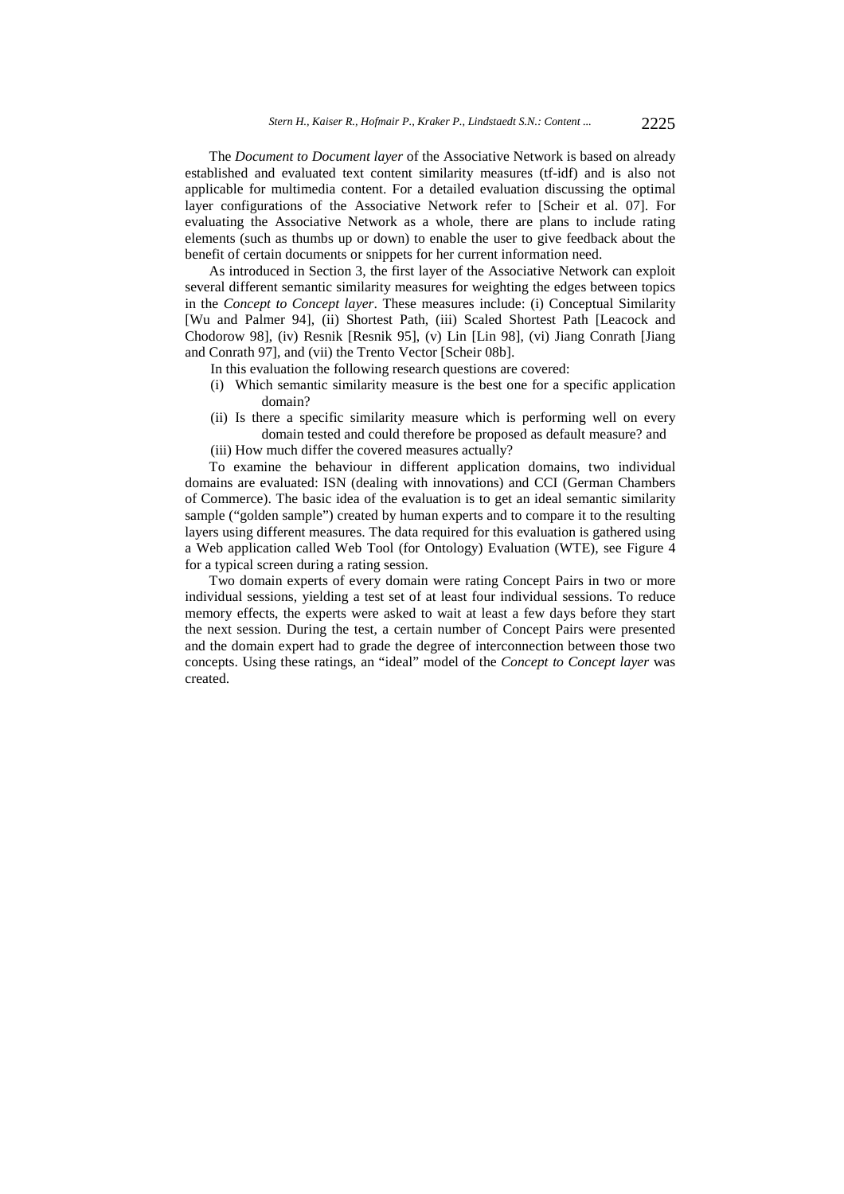The *Document to Document layer* of the Associative Network is based on already established and evaluated text content similarity measures (tf-idf) and is also not applicable for multimedia content. For a detailed evaluation discussing the optimal layer configurations of the Associative Network refer to [Scheir et al. 07]. For evaluating the Associative Network as a whole, there are plans to include rating elements (such as thumbs up or down) to enable the user to give feedback about the benefit of certain documents or snippets for her current information need.

As introduced in Section 3, the first layer of the Associative Network can exploit several different semantic similarity measures for weighting the edges between topics in the *Concept to Concept layer*. These measures include: (i) Conceptual Similarity [Wu and Palmer 94], (ii) Shortest Path, (iii) Scaled Shortest Path [Leacock and Chodorow 98], (iv) Resnik [Resnik 95], (v) Lin [Lin 98], (vi) Jiang Conrath [Jiang and Conrath 97], and (vii) the Trento Vector [Scheir 08b].

- In this evaluation the following research questions are covered:
- (i) Which semantic similarity measure is the best one for a specific application domain?
- (ii) Is there a specific similarity measure which is performing well on every domain tested and could therefore be proposed as default measure? and
- (iii) How much differ the covered measures actually?

To examine the behaviour in different application domains, two individual domains are evaluated: ISN (dealing with innovations) and CCI (German Chambers of Commerce). The basic idea of the evaluation is to get an ideal semantic similarity sample ("golden sample") created by human experts and to compare it to the resulting layers using different measures. The data required for this evaluation is gathered using a Web application called Web Tool (for Ontology) Evaluation (WTE), see Figure 4 for a typical screen during a rating session.

Two domain experts of every domain were rating Concept Pairs in two or more individual sessions, yielding a test set of at least four individual sessions. To reduce memory effects, the experts were asked to wait at least a few days before they start the next session. During the test, a certain number of Concept Pairs were presented and the domain expert had to grade the degree of interconnection between those two concepts. Using these ratings, an "ideal" model of the *Concept to Concept layer* was created.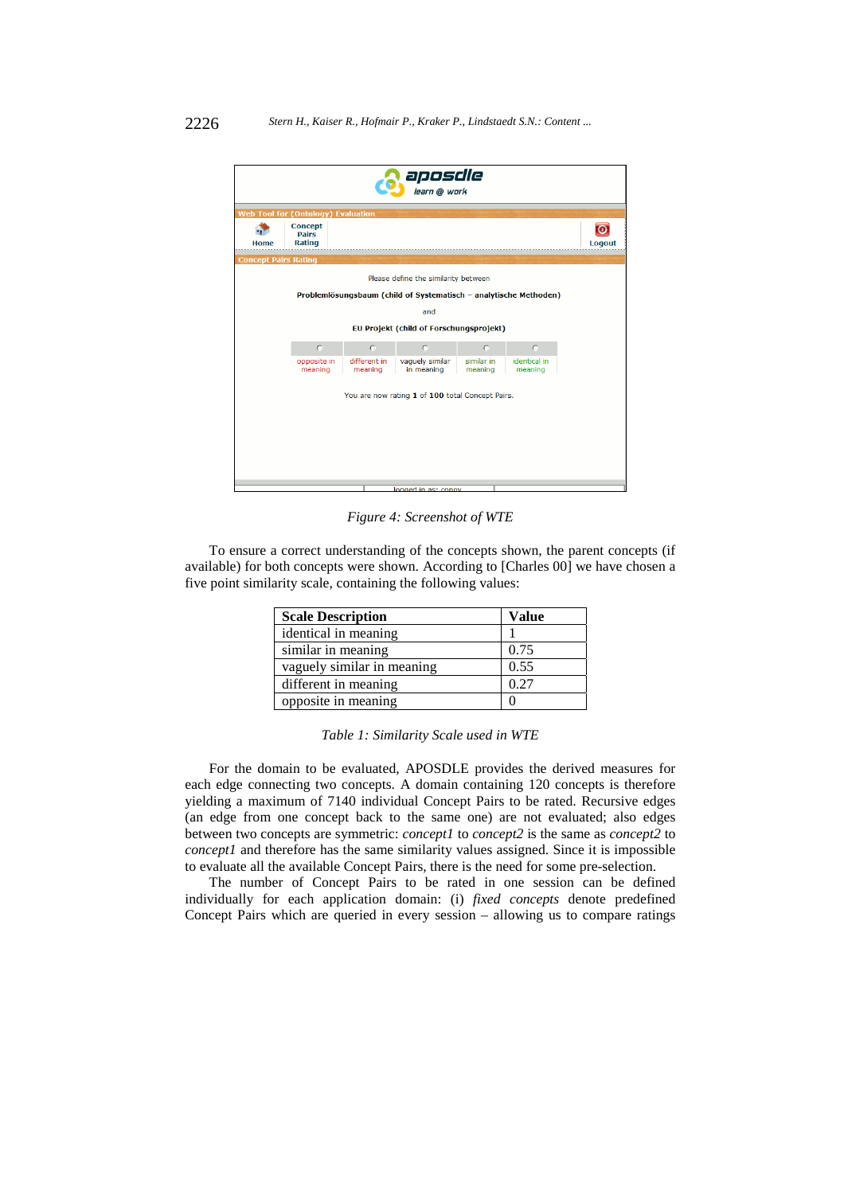| aposdle<br>Dearn @ work                   |                                                 |                         |                                                                   |                       |                         |                     |  |  |  |
|-------------------------------------------|-------------------------------------------------|-------------------------|-------------------------------------------------------------------|-----------------------|-------------------------|---------------------|--|--|--|
| <b>Web Tool for (Ontology) Evaluation</b> |                                                 |                         |                                                                   |                       |                         |                     |  |  |  |
| Home                                      | <b>Concept</b><br><b>Pairs</b><br><b>Rating</b> |                         |                                                                   |                       |                         | $\bullet$<br>Logout |  |  |  |
| <b>Concept Pairs Rating</b>               |                                                 |                         |                                                                   |                       |                         |                     |  |  |  |
|                                           | Please define the similarity between            |                         |                                                                   |                       |                         |                     |  |  |  |
|                                           |                                                 |                         | Problemlösungsbaum (child of Systematisch - analytische Methoden) |                       |                         |                     |  |  |  |
|                                           |                                                 |                         | and                                                               |                       |                         |                     |  |  |  |
|                                           | EU Projekt (child of Forschungsprojekt)         |                         |                                                                   |                       |                         |                     |  |  |  |
|                                           | $\bigcap$                                       | $\subset$               | $\bigcap$                                                         | $\cap$                | $\mathcal{O}$           |                     |  |  |  |
|                                           | opposite in<br>meaning                          | different in<br>meaning | vaguely similar<br>in meaning                                     | similar in<br>meaning | identical in<br>meaning |                     |  |  |  |
|                                           |                                                 |                         | You are now rating 1 of 100 total Concept Pairs.                  |                       |                         |                     |  |  |  |
|                                           |                                                 |                         | logged in as: conny                                               |                       |                         |                     |  |  |  |

*Figure 4: Screenshot of WTE* 

To ensure a correct understanding of the concepts shown, the parent concepts (if available) for both concepts were shown. According to [Charles 00] we have chosen a five point similarity scale, containing the following values:

| <b>Scale Description</b>   | Value |
|----------------------------|-------|
| identical in meaning       |       |
| similar in meaning         | 0.75  |
| vaguely similar in meaning | 0.55  |
| different in meaning       | 0.27  |
| opposite in meaning        |       |

For the domain to be evaluated, APOSDLE provides the derived measures for each edge connecting two concepts. A domain containing 120 concepts is therefore yielding a maximum of 7140 individual Concept Pairs to be rated. Recursive edges (an edge from one concept back to the same one) are not evaluated; also edges between two concepts are symmetric: *concept1* to *concept2* is the same as *concept2* to *concept1* and therefore has the same similarity values assigned. Since it is impossible to evaluate all the available Concept Pairs, there is the need for some pre-selection.

The number of Concept Pairs to be rated in one session can be defined individually for each application domain: (i) *fixed concepts* denote predefined Concept Pairs which are queried in every session – allowing us to compare ratings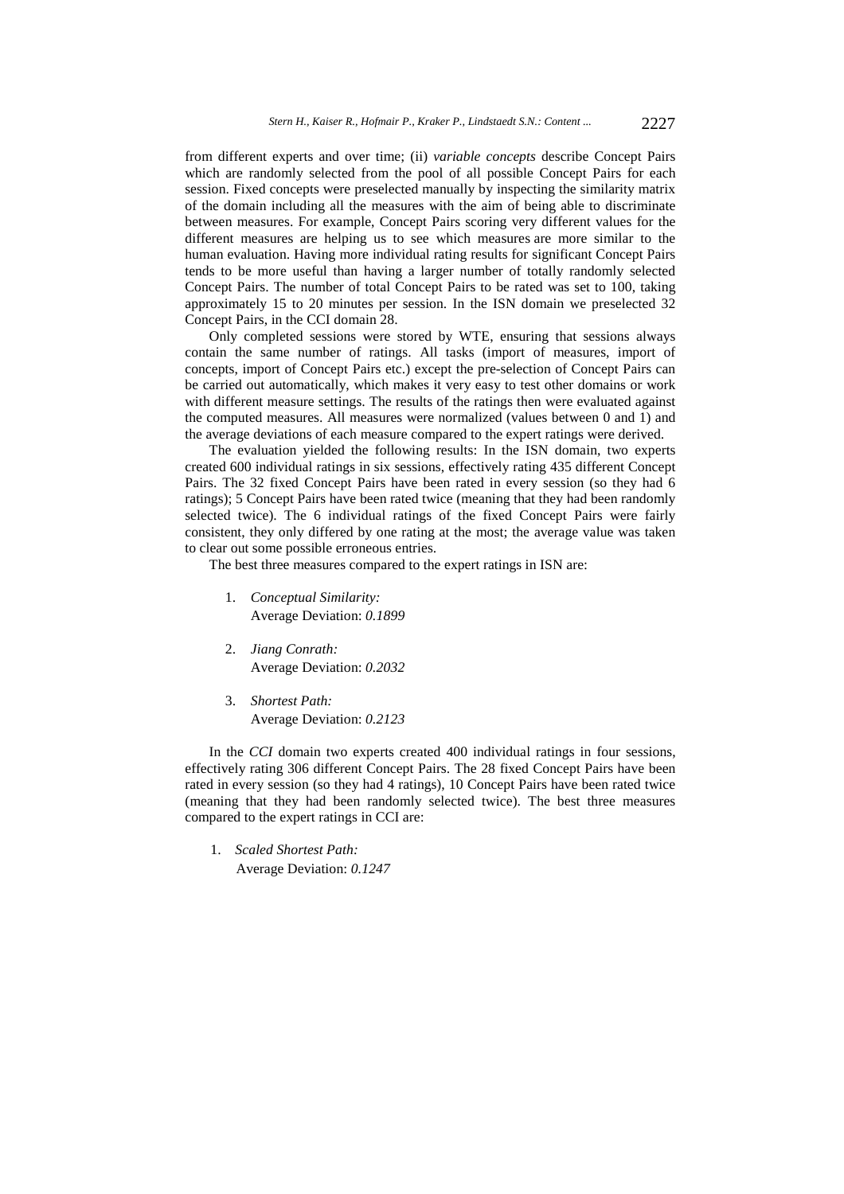from different experts and over time; (ii) *variable concepts* describe Concept Pairs which are randomly selected from the pool of all possible Concept Pairs for each session. Fixed concepts were preselected manually by inspecting the similarity matrix of the domain including all the measures with the aim of being able to discriminate between measures. For example, Concept Pairs scoring very different values for the different measures are helping us to see which measures are more similar to the human evaluation. Having more individual rating results for significant Concept Pairs tends to be more useful than having a larger number of totally randomly selected Concept Pairs. The number of total Concept Pairs to be rated was set to 100, taking approximately 15 to 20 minutes per session. In the ISN domain we preselected 32 Concept Pairs, in the CCI domain 28.

Only completed sessions were stored by WTE, ensuring that sessions always contain the same number of ratings. All tasks (import of measures, import of concepts, import of Concept Pairs etc.) except the pre-selection of Concept Pairs can be carried out automatically, which makes it very easy to test other domains or work with different measure settings. The results of the ratings then were evaluated against the computed measures. All measures were normalized (values between 0 and 1) and the average deviations of each measure compared to the expert ratings were derived.

The evaluation yielded the following results: In the ISN domain, two experts created 600 individual ratings in six sessions, effectively rating 435 different Concept Pairs. The 32 fixed Concept Pairs have been rated in every session (so they had 6 ratings); 5 Concept Pairs have been rated twice (meaning that they had been randomly selected twice). The 6 individual ratings of the fixed Concept Pairs were fairly consistent, they only differed by one rating at the most; the average value was taken to clear out some possible erroneous entries.

The best three measures compared to the expert ratings in ISN are:

- 1. *Conceptual Similarity:* Average Deviation: *0.1899*
- 2. *Jiang Conrath:* Average Deviation: *0.2032*
- 3. *Shortest Path:* Average Deviation: *0.2123*

In the *CCI* domain two experts created 400 individual ratings in four sessions, effectively rating 306 different Concept Pairs. The 28 fixed Concept Pairs have been rated in every session (so they had 4 ratings), 10 Concept Pairs have been rated twice (meaning that they had been randomly selected twice). The best three measures compared to the expert ratings in CCI are:

1. *Scaled Shortest Path:*

Average Deviation: *0.1247*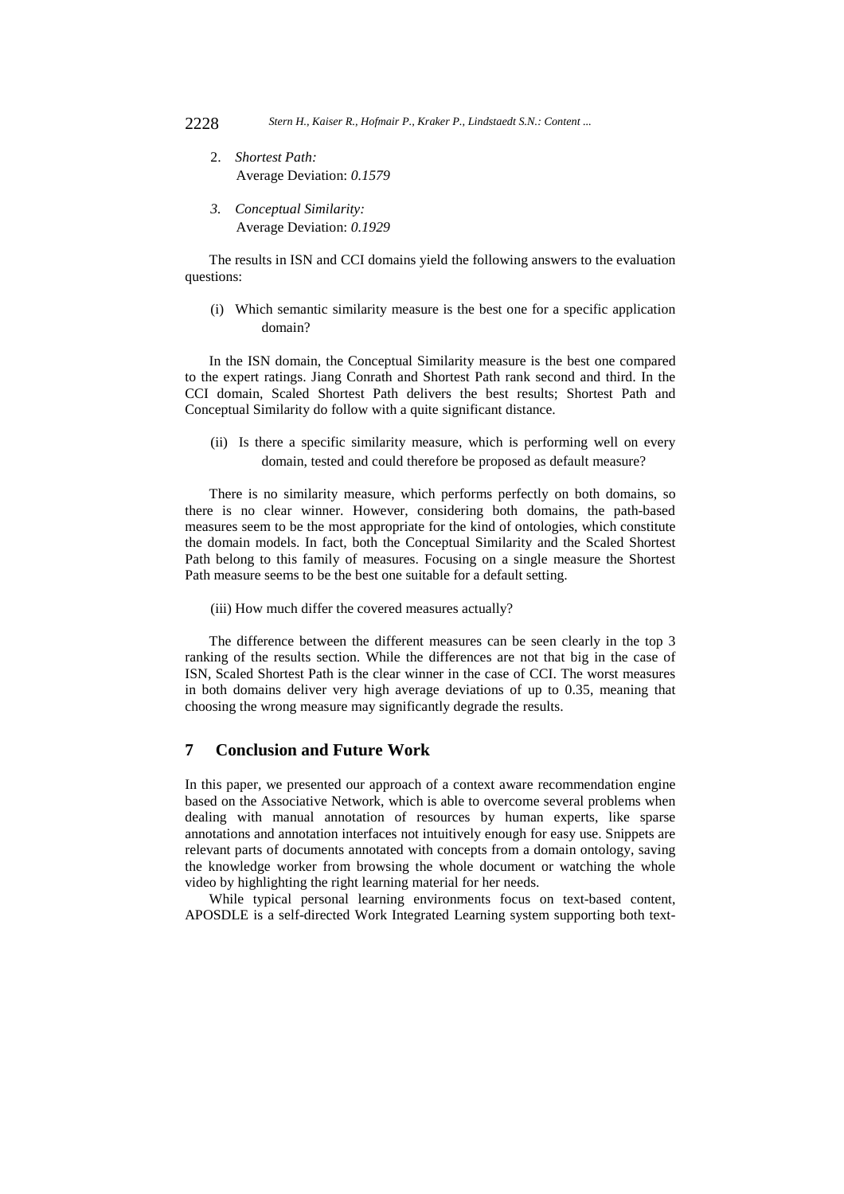- 2. *Shortest Path:* Average Deviation: *0.1579*
- *3. Conceptual Similarity:* Average Deviation: *0.1929*

The results in ISN and CCI domains yield the following answers to the evaluation questions:

(i) Which semantic similarity measure is the best one for a specific application domain?

In the ISN domain, the Conceptual Similarity measure is the best one compared to the expert ratings. Jiang Conrath and Shortest Path rank second and third. In the CCI domain, Scaled Shortest Path delivers the best results; Shortest Path and Conceptual Similarity do follow with a quite significant distance.

(ii) Is there a specific similarity measure, which is performing well on every domain, tested and could therefore be proposed as default measure?

There is no similarity measure, which performs perfectly on both domains, so there is no clear winner. However, considering both domains, the path-based measures seem to be the most appropriate for the kind of ontologies, which constitute the domain models. In fact, both the Conceptual Similarity and the Scaled Shortest Path belong to this family of measures. Focusing on a single measure the Shortest Path measure seems to be the best one suitable for a default setting.

(iii) How much differ the covered measures actually?

The difference between the different measures can be seen clearly in the top 3 ranking of the results section. While the differences are not that big in the case of ISN, Scaled Shortest Path is the clear winner in the case of CCI. The worst measures in both domains deliver very high average deviations of up to 0.35, meaning that choosing the wrong measure may significantly degrade the results.

### **7 Conclusion and Future Work**

In this paper, we presented our approach of a context aware recommendation engine based on the Associative Network, which is able to overcome several problems when dealing with manual annotation of resources by human experts, like sparse annotations and annotation interfaces not intuitively enough for easy use. Snippets are relevant parts of documents annotated with concepts from a domain ontology, saving the knowledge worker from browsing the whole document or watching the whole video by highlighting the right learning material for her needs.

While typical personal learning environments focus on text-based content, APOSDLE is a self-directed Work Integrated Learning system supporting both text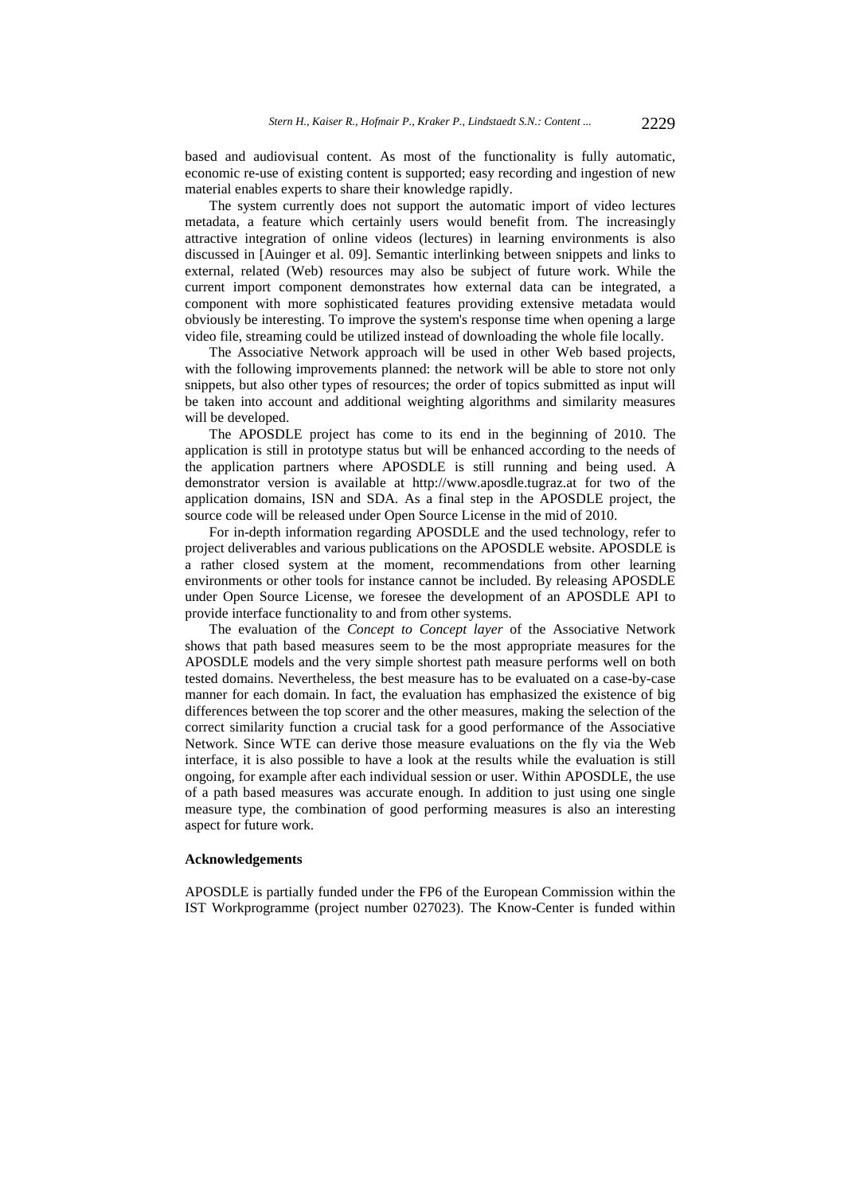based and audiovisual content. As most of the functionality is fully automatic, economic re-use of existing content is supported; easy recording and ingestion of new material enables experts to share their knowledge rapidly.

The system currently does not support the automatic import of video lectures metadata, a feature which certainly users would benefit from. The increasingly attractive integration of online videos (lectures) in learning environments is also discussed in [Auinger et al. 09]. Semantic interlinking between snippets and links to external, related (Web) resources may also be subject of future work. While the current import component demonstrates how external data can be integrated, a component with more sophisticated features providing extensive metadata would obviously be interesting. To improve the system's response time when opening a large video file, streaming could be utilized instead of downloading the whole file locally.

The Associative Network approach will be used in other Web based projects, with the following improvements planned: the network will be able to store not only snippets, but also other types of resources; the order of topics submitted as input will be taken into account and additional weighting algorithms and similarity measures will be developed.

The APOSDLE project has come to its end in the beginning of 2010. The application is still in prototype status but will be enhanced according to the needs of the application partners where APOSDLE is still running and being used. A demonstrator version is available at http://www.aposdle.tugraz.at for two of the application domains, ISN and SDA. As a final step in the APOSDLE project, the source code will be released under Open Source License in the mid of 2010.

For in-depth information regarding APOSDLE and the used technology, refer to project deliverables and various publications on the APOSDLE website. APOSDLE is a rather closed system at the moment, recommendations from other learning environments or other tools for instance cannot be included. By releasing APOSDLE under Open Source License, we foresee the development of an APOSDLE API to provide interface functionality to and from other systems.

The evaluation of the *Concept to Concept layer* of the Associative Network shows that path based measures seem to be the most appropriate measures for the APOSDLE models and the very simple shortest path measure performs well on both tested domains. Nevertheless, the best measure has to be evaluated on a case-by-case manner for each domain. In fact, the evaluation has emphasized the existence of big differences between the top scorer and the other measures, making the selection of the correct similarity function a crucial task for a good performance of the Associative Network. Since WTE can derive those measure evaluations on the fly via the Web interface, it is also possible to have a look at the results while the evaluation is still ongoing, for example after each individual session or user. Within APOSDLE, the use of a path based measures was accurate enough. In addition to just using one single measure type, the combination of good performing measures is also an interesting aspect for future work.

#### **Acknowledgements**

APOSDLE is partially funded under the FP6 of the European Commission within the IST Workprogramme (project number 027023). The Know-Center is funded within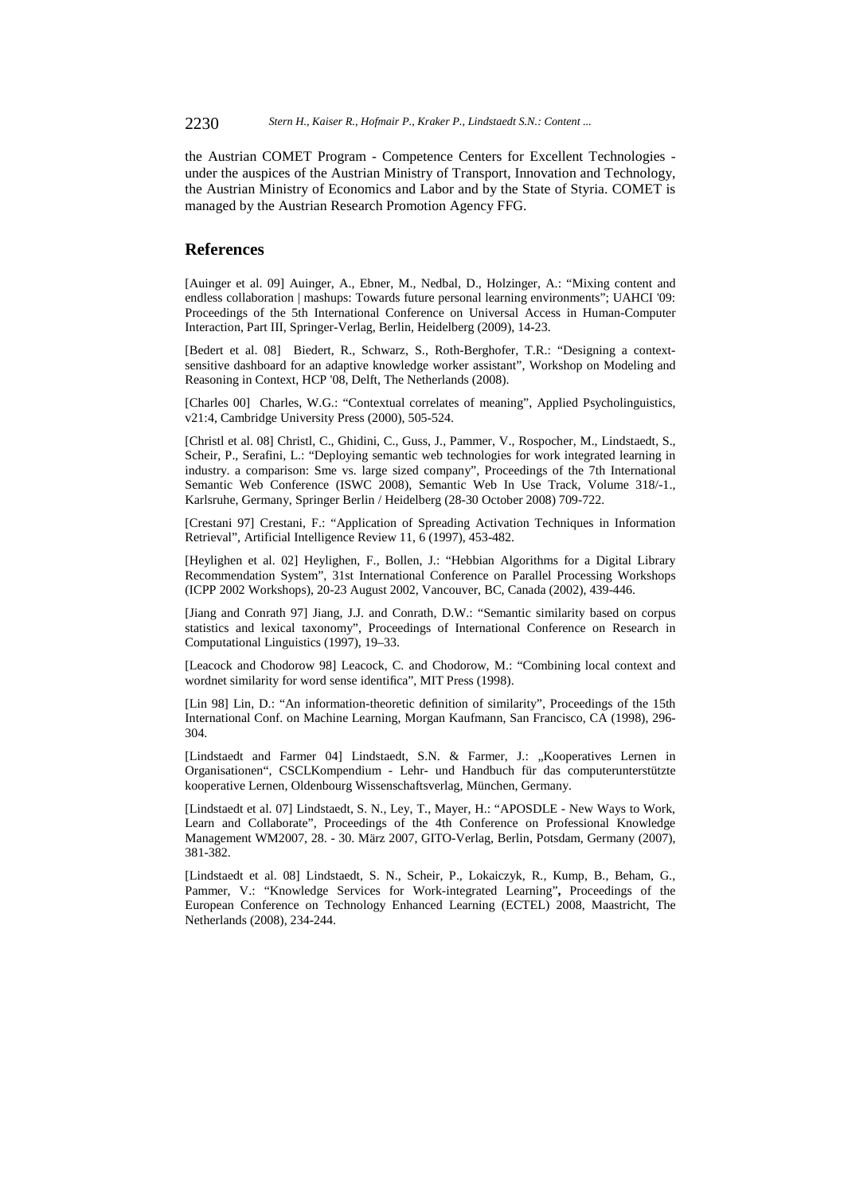the Austrian COMET Program - Competence Centers for Excellent Technologies under the auspices of the Austrian Ministry of Transport, Innovation and Technology, the Austrian Ministry of Economics and Labor and by the State of Styria. COMET is managed by the Austrian Research Promotion Agency FFG.

#### **References**

[Auinger et al. 09] Auinger, A., Ebner, M., Nedbal, D., Holzinger, A.: "Mixing content and endless collaboration | mashups: Towards future personal learning environments"; UAHCI '09: Proceedings of the 5th International Conference on Universal Access in Human-Computer Interaction, Part III, Springer-Verlag, Berlin, Heidelberg (2009), 14-23.

[Bedert et al. 08] Biedert, R., Schwarz, S., Roth-Berghofer, T.R.: "Designing a contextsensitive dashboard for an adaptive knowledge worker assistant", Workshop on Modeling and Reasoning in Context, HCP '08, Delft, The Netherlands (2008).

[Charles 00] Charles, W.G.: "Contextual correlates of meaning", Applied Psycholinguistics, v21:4, Cambridge University Press (2000), 505-524.

[Christl et al. 08] Christl, C., Ghidini, C., Guss, J., Pammer, V., Rospocher, M., Lindstaedt, S., Scheir, P., Serafini, L.: "Deploying semantic web technologies for work integrated learning in industry. a comparison: Sme vs. large sized company", Proceedings of the 7th International Semantic Web Conference (ISWC 2008), Semantic Web In Use Track, Volume 318/-1., Karlsruhe, Germany, Springer Berlin / Heidelberg (28-30 October 2008) 709-722.

[Crestani 97] Crestani, F.: "Application of Spreading Activation Techniques in Information Retrieval", Artificial Intelligence Review 11, 6 (1997), 453-482.

[Heylighen et al. 02] Heylighen, F., Bollen, J.: "Hebbian Algorithms for a Digital Library Recommendation System", 31st International Conference on Parallel Processing Workshops (ICPP 2002 Workshops), 20-23 August 2002, Vancouver, BC, Canada (2002), 439-446.

[Jiang and Conrath 97] Jiang, J.J. and Conrath, D.W.: "Semantic similarity based on corpus statistics and lexical taxonomy", Proceedings of International Conference on Research in Computational Linguistics (1997), 19–33.

[Leacock and Chodorow 98] Leacock, C. and Chodorow, M.: "Combining local context and wordnet similarity for word sense identifica", MIT Press (1998).

[Lin 98] Lin, D.: "An information-theoretic definition of similarity", Proceedings of the 15th International Conf. on Machine Learning, Morgan Kaufmann, San Francisco, CA (1998), 296- 304.

[Lindstaedt and Farmer 04] Lindstaedt, S.N. & Farmer, J.: "Kooperatives Lernen in Organisationen", CSCLKompendium - Lehr- und Handbuch für das computerunterstützte kooperative Lernen, Oldenbourg Wissenschaftsverlag, München, Germany.

[Lindstaedt et al. 07] Lindstaedt, S. N., Ley, T., Mayer, H.: "APOSDLE - New Ways to Work, Learn and Collaborate", Proceedings of the 4th Conference on Professional Knowledge Management WM2007, 28. - 30. März 2007, GITO-Verlag, Berlin, Potsdam, Germany (2007), 381-382.

[Lindstaedt et al. 08] Lindstaedt, S. N., Scheir, P., Lokaiczyk, R., Kump, B., Beham, G., Pammer, V.: "Knowledge Services for Work-integrated Learning"**,** Proceedings of the European Conference on Technology Enhanced Learning (ECTEL) 2008, Maastricht, The Netherlands (2008), 234-244.